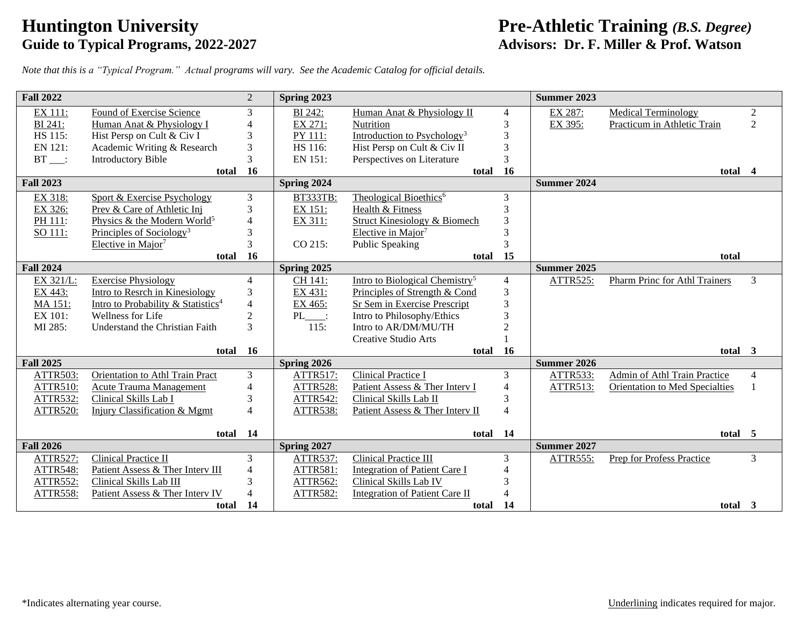# **Guide to Typical Programs, 2022-2027**

## **Fre-Athletic Training** *(B.S. Degree)*<br>
Guide to Typical Programs, 2022-2027<br>
Advisors: Dr. F. Miller & Prof. Watson

*Note that this is a "Typical Program." Actual programs will vary. See the Academic Catalog for official details.*

| <b>Fall 2022</b> |                                                | 2                        | Spring 2023     |                                            |                | Summer 2023        |                                |                |
|------------------|------------------------------------------------|--------------------------|-----------------|--------------------------------------------|----------------|--------------------|--------------------------------|----------------|
| EX 111:          | Found of Exercise Science                      | 3                        | BI 242:         | Human Anat & Physiology II                 | 4              | EX 287:            | <b>Medical Terminology</b>     | $\overline{2}$ |
| BI 241:          | Human Anat & Physiology I                      | 4                        | EX 271:         | <b>Nutrition</b>                           | 3              | EX 395:            | Practicum in Athletic Train    | $\overline{2}$ |
| HS 115:          | Hist Persp on Cult & Civ I                     | 3                        | PY 111:         | Introduction to Psychology <sup>3</sup>    | 3              |                    |                                |                |
| EN 121:          | Academic Writing & Research                    | 3                        | HS 116:         | Hist Persp on Cult & Civ II                | 3              |                    |                                |                |
| $BT$ :           | <b>Introductory Bible</b>                      | 3                        | EN 151:         | Perspectives on Literature                 | 3              |                    |                                |                |
|                  | total                                          | 16                       |                 | total 16                                   |                |                    | total 4                        |                |
| <b>Fall 2023</b> |                                                |                          | Spring 2024     |                                            |                | <b>Summer 2024</b> |                                |                |
| EX 318:          | <b>Sport &amp; Exercise Psychology</b>         | 3                        | <b>BT333TB:</b> | Theological Bioethics <sup>6</sup>         | 3              |                    |                                |                |
| EX 326:          | Prev & Care of Athletic Inj                    | 3                        | EX 151:         | Health & Fitness                           | 3              |                    |                                |                |
| PH 111:          | Physics & the Modern World <sup>5</sup>        | 4                        | EX 311:         | Struct Kinesiology & Biomech               | 3              |                    |                                |                |
| SO 111:          | Principles of Sociology <sup>3</sup>           | 3                        |                 | Elective in Major <sup>7</sup>             | 3              |                    |                                |                |
|                  | Elective in Major <sup>7</sup>                 | 3                        | CO 215:         | <b>Public Speaking</b>                     | 3              |                    |                                |                |
|                  | total                                          | <b>16</b>                |                 | total 15                                   |                |                    | total                          |                |
| <b>Fall 2024</b> |                                                |                          | Spring 2025     |                                            |                | Summer 2025        |                                |                |
| EX 321/L:        | <b>Exercise Physiology</b>                     | 4                        | CH 141:         | Intro to Biological Chemistry <sup>5</sup> | $\overline{4}$ | <b>ATTR525:</b>    | Pharm Princ for Athl Trainers  | $\overline{3}$ |
| EX 443:          | Intro to Resrch in Kinesiology                 | 3                        | EX 431:         | Principles of Strength & Cond              | 3              |                    |                                |                |
| MA 151:          | Intro to Probability & Statistics <sup>4</sup> | 4                        | EX 465:         | Sr Sem in Exercise Prescript               | 3              |                    |                                |                |
| EX 101:          | <b>Wellness for Life</b>                       | $\overline{2}$           | PL :            | Intro to Philosophy/Ethics                 | 3              |                    |                                |                |
| MI 285:          | Understand the Christian Faith                 | 3                        | 115:            | Intro to AR/DM/MU/TH                       | $\overline{2}$ |                    |                                |                |
|                  |                                                |                          |                 | Creative Studio Arts                       |                |                    |                                |                |
|                  | total                                          | <b>16</b>                |                 | total                                      | <b>16</b>      |                    | total 3                        |                |
| <b>Fall 2025</b> |                                                |                          | Spring 2026     |                                            |                | Summer 2026        |                                |                |
| <b>ATTR503:</b>  | <b>Orientation to Athl Train Pract</b>         | 3                        | <b>ATTR517:</b> | <b>Clinical Practice I</b>                 | 3              | ATTR533:           | Admin of Athl Train Practice   | $\overline{4}$ |
| <b>ATTR510:</b>  | <b>Acute Trauma Management</b>                 | 4                        | <b>ATTR528:</b> | Patient Assess & Ther Interv I             | 4              | ATTR513:           | Orientation to Med Specialties |                |
| <b>ATTR532:</b>  | Clinical Skills Lab I                          | 3                        | <b>ATTR542:</b> | Clinical Skills Lab II                     | 3              |                    |                                |                |
| <b>ATTR520:</b>  | Injury Classification & Mgmt                   | $\overline{\mathcal{L}}$ | <b>ATTR538:</b> | Patient Assess & Ther Interv II            | $\overline{4}$ |                    |                                |                |
|                  |                                                |                          |                 |                                            |                |                    |                                |                |
|                  | total                                          | 14                       |                 | total 14                                   |                |                    | total 5                        |                |
| <b>Fall 2026</b> |                                                |                          | Spring 2027     |                                            |                | Summer 2027        |                                |                |
| ATTR527:         | Clinical Practice II                           | 3                        | ATTR537:        | <b>Clinical Practice III</b>               | 3              | ATTR555:           | Prep for Profess Practice      | $\overline{3}$ |
| <b>ATTR548:</b>  | Patient Assess & Ther Interv III               | 4                        | ATTR581:        | <b>Integration of Patient Care I</b>       | 4              |                    |                                |                |
| <b>ATTR552:</b>  | Clinical Skills Lab III                        | 3<br>4                   | ATTR562:        | Clinical Skills Lab IV                     | 3<br>4         |                    |                                |                |
| ATTR558:         | Patient Assess & Ther Interv IV                | 14                       | <b>ATTR582:</b> | Integration of Patient Care II             |                |                    |                                |                |
|                  | total                                          |                          |                 | total 14                                   |                |                    | total 3                        |                |